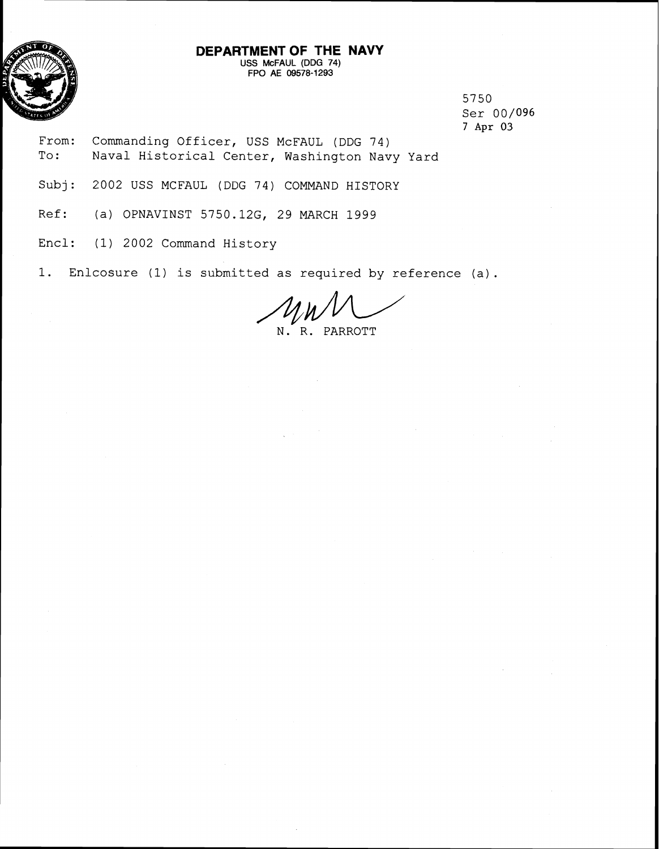

#### **DEPARTMENT OF THE NAVY USS McFAUL (DDG 74)**  FPO **AE 09578-1293**

5750 Ser 00/096 7 Apr 03

- From: Commanding Officer, USS McFAUL (DDG 74) To: Naval Historical Center, Washington Navy Yard
- Subj: 2002 USS MCFAUL (DDG 74) COMMAND HISTORY
- Ref: (a) OPNAVINST 5750.126, 29 MARCH 1999
- Encl: (1) 2002 Command History
- 1. Enlcosure (1) is submitted as required by reference (a).

N. R. PARROTT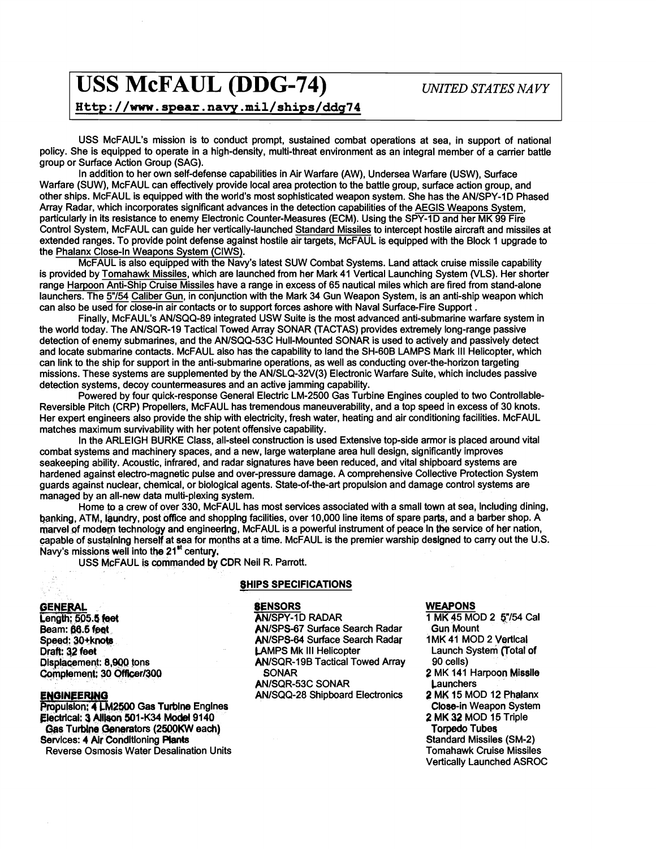# **USS McFAUL (DDG-74)** *UNITED STATES NAVY*

<sup>I</sup>**sp** : **//m. spear. navy .mil/ships/ddg74** <sup>1</sup>

USS McFAUL's mission is to conduct prompt, sustained combat operations at sea, in support of national policy. She is equipped to operate in a high-density, multi-threat environment as an integral member of a carrier battle group or Surface Action Group (SAG).

In addition to her own self-defense capabilities in Air Warfare (AW), Undersea Warfare (USW), Surface Warfare (SUW), McFAUL can effectively provide local area protection to the battle group, surface action group, and other ships. McFAUL is equipped with the world's most sophisticated weapon system. She has the AN/SPY-1D Phased Array Radar, which incorporates significant advances in the detection capabilities of the AEGIS Weapons System, particularly in its resistance to enemy Electronic Counter-Measures (ECM). Using the SPY-1D and her MK 99 Fire Control System, McFAUL can guide her vertically-launched Standard Missiles to intercept hostile aircraft and missiles at extended ranges. To provide point defense against hostile air targets, McFAUL is equipped with the Block 1 upgrade to<br>the Phalanx Close-ln Weapons System (CIWS).

McFAUL is also equipped with the Navy's latest SUW Combat Systems. Land attack cruise missile capability is provided by Tomahawk Missiles, which are launched from her Mark 41 Vertical Launching System (VLS). Her shorier range Harpoon Anti-Ship Cruise Missiles have a range in excess of 65 nautical miles which are fired from stand-alone launchers. The **5"/54** Caliber Gun, in conjunction with the Mark 34 Gun Weapon System, is an anti-ship weapon which

Finally, McFAUL's AN/SQQ-89 integrated USW Suite is the most advanced anti-submarine warfare system in the world today. The ANISQR-19 Tactical Towed Array SONAR (TACTAS) provides extremely long-range passive detection of enemy submarines, and the AN/SQQ-53C Hull-Mounted SONAR is used to actively and passively detect and locate submarine contacts. McFAUL also has the capability to land the SH-GOB LAMPS Mark Ill Helicopter, which can link to the ship for support in the anti-submarine operations, as well as conducting over-the-horizon targeting missions. These systems are supplemented by the ANISLQ-32V(3) Electronic Warfare Suite, which includes passive detection systems, decoy countermeasures and an active jamming capability.

Powered by four quick-response General Electric LM-2500 Gas Turbine Engines coupled to two Controllable-Reversible Pilch (CRP) Propellers, McFAUL has tremendous maneuverability, and a top speed in excess of 30 knots. Her expert engineers also provide the ship with electricity, fresh water, heating and air conditioning facilities. McFAUL matches maximum survivability with her potent offensive capability.

In the ARLEIGH BURKE Class, all-steel construction is used Extensive top-side armor is placed around vital combat systems and machinery spaces, and a new, large waterplane area hull design, significantly improves seakeeping ability. Acoustic, infrared, and radar signatures have been reduced, and vital shipboard systems are hardened against electro-magnetic pulse and over-pressure damage. A comprehensive Collective Protection System guards against nuclear, chemical, or biological agents. State-of-the-art propulsion and damage control systems are managed by an all-new data multi-plexing system.

Home to a crew of over 330, McFAUL has most services associated with a small town at sea, Including dining, banking, ATM, laundry, post office and shopping facilities, over 10,000 line items of spare parts, and a barber shop. A marvel of modern technology and engineering, McFAUL is a powerful instrument of peace In the service of her nation, capable of sustaining herself at sea for months at a time. McFAUL is the premier warship designed to carry out the U.S. Navy's missions well into the **21"** century.

USS McFAUL is commanded by CDR Neil R. Parrott.

#### **SHIPS SPECIFICATIONS**

#### **GENERAL** .

Length; 505.5 feet **Beam: 66.5 feet** Speed: 30+knots **Draft:** @ feet Displacement: 8,900 tons Complement; 30 Officer/300

#### **ENGINEERING**

**Propulsion: 4 LM2500 Gas Turbine Engines Electrical: 3 Allison 501-K34 Model 9140 Gas Turbine Generators (2500KW each)** Services: 4 Air Conditioning Plants Reverse Osmosis Water Desalination Units **SENSORS AN/SPY-1D RADAR** ANISPS-67 Surface Search Radar ANISPS-64 Surface Search Radar CAMPS Mk Ill Helicopter AN/SQR-19B Tactical Towed Array SONAR ANISQR-53C SONAR ANISQQ-28 Shipboard Electronics

#### **WEAPONS**

**1 MK 45 MOD 2 57/54 Cal** Gun Mount 1 MK 41 MOD 2 Vertlcal Launch System (Total of 90 cells) **2** MK 141 Harpoon Misslle **Launchers 2** MK 15 MOD 12 Phalanx Close-in Weapon System **2** MK 32 MOD 15 Triple Torpedo Tubes Standard Missiles (SM-2) Tomahawk Cruise Missiles Vertically Launched ASROC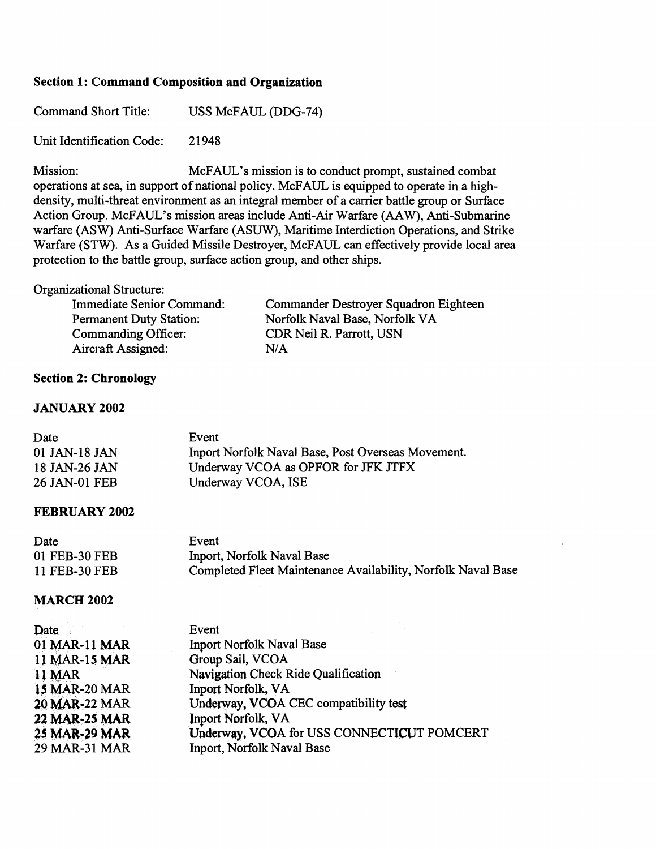### **Section 1: Command Composition and Organization**

Command Short Title: USS McFAUL (DDG-74)

Unit Identification Code: 21948

Mission: MCFAUL's mission is to conduct prompt, sustained combat operations at sea, in support of national policy. McFAUL is equipped to operate in a highdensity, multi-threat environment as an integral member of a carrier battle group or Surface Action Group. McFAUL's mission areas include Anti-Air Warfare (AAW), Anti-Submarine warfare (ASW) Anti-Surface Warfare (ASUW), Maritime Interdiction Operations, and Strike Warfare (STW). As a Guided Missile Destroyer, McFAUL can effectively provide local area protection to the battle group, surface action group, and other ships.

#### Organizational Structure:

| Immediate Senior Command:      | Com        |
|--------------------------------|------------|
| <b>Permanent Duty Station:</b> | Norf       |
| Commanding Officer:            | <b>CDR</b> |
| Aircraft Assigned:             | N/A        |

Commander Destroyer Squadron Eighteen Norfolk Naval Base, Norfolk VA CDR Neil R. Parrott, USN

### **Section 2: Chronology**

#### **JANUARY 2002**

| Date          | Event                                              |
|---------------|----------------------------------------------------|
| 01 JAN-18 JAN | Inport Norfolk Naval Base, Post Overseas Movement. |
| 18 JAN-26 JAN | Underway VCOA as OPFOR for JFK JTFX                |
| 26 JAN-01 FEB | Underway VCOA, ISE                                 |

#### **FEBRUARY 2002**

| Date          | Event                                                        |
|---------------|--------------------------------------------------------------|
| 01 FEB-30 FEB | Inport, Norfolk Naval Base                                   |
| 11 FEB-30 FEB | Completed Fleet Maintenance Availability, Norfolk Naval Base |

#### **MARCH 2002**

| Date                 | Event                                      |
|----------------------|--------------------------------------------|
| 01 MAR-11 MAR        | <b>Inport Norfolk Naval Base</b>           |
| 11 MAR-15 MAR        | Group Sail, VCOA                           |
| 11 MAR               | Navigation Check Ride Qualification        |
| <b>15 MAR-20 MAR</b> | Inport Norfolk, VA                         |
| 20 MAR-22 MAR        | Underway, VCOA CEC compatibility test      |
| 22 MAR-25 MAR        | <b>Inport Norfolk, VA</b>                  |
| 25 MAR-29 MAR        | Underway, VCOA for USS CONNECTICUT POMCERT |
| 29 MAR-31 MAR        | Inport, Norfolk Naval Base                 |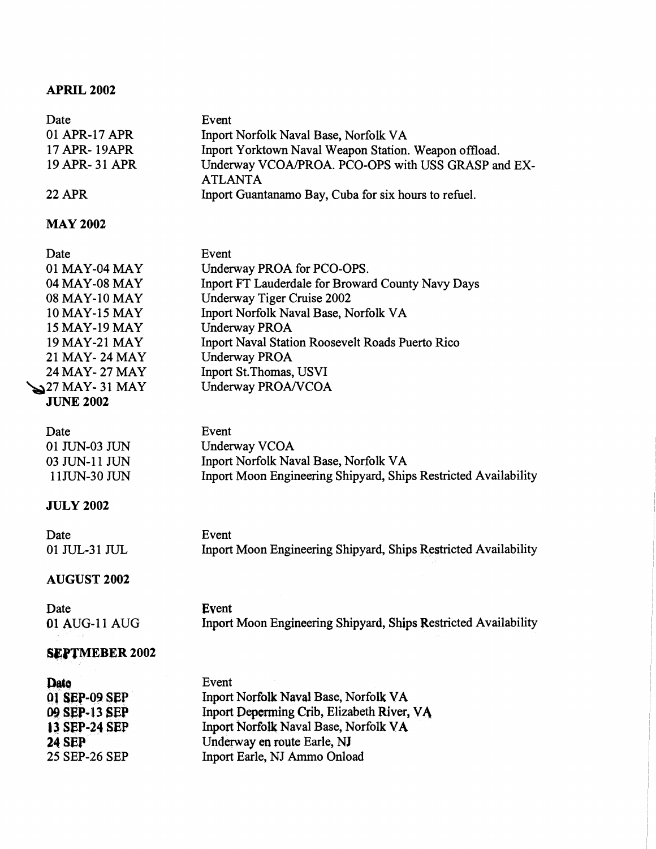## **APRIL 2002**

| Date           | Event                                                                |
|----------------|----------------------------------------------------------------------|
| 01 APR-17 APR  | Inport Norfolk Naval Base, Norfolk VA                                |
| 17 APR-19APR   | Inport Yorktown Naval Weapon Station. Weapon offload.                |
| 19 APR- 31 APR | Underway VCOA/PROA. PCO-OPS with USS GRASP and EX-<br><b>ATLANTA</b> |
| <b>22 APR</b>  | Inport Guantanamo Bay, Cuba for six hours to refuel.                 |

## **MAY 2002**

| Date                   | Event                                             |
|------------------------|---------------------------------------------------|
| 01 MAY-04 MAY          | Underway PROA for PCO-OPS.                        |
| 04 MAY-08 MAY          | Inport FT Lauderdale for Broward County Navy Days |
| 08 MAY-10 MAY          | Underway Tiger Cruise 2002                        |
| 10 MAY-15 MAY          | Inport Norfolk Naval Base, Norfolk VA             |
| 15 MAY-19 MAY          | <b>Underway PROA</b>                              |
| 19 MAY-21 MAY          | Inport Naval Station Roosevelt Roads Puerto Rico  |
| 21 MAY - 24 MAY        | <b>Underway PROA</b>                              |
| 24 MAY - 27 MAY        | Inport St. Thomas, USVI                           |
| $\sum$ 27 MAY - 31 MAY | Underway PROA/VCOA                                |
| <b>JUNE 2002</b>       |                                                   |

| Date          | Event                                                           |
|---------------|-----------------------------------------------------------------|
| 01 JUN-03 JUN | Underway VCOA                                                   |
| 03 JUN-11 JUN | Inport Norfolk Naval Base, Norfolk VA                           |
| 11JUN-30 JUN  | Inport Moon Engineering Shipyard, Ships Restricted Availability |

## **JULY 2002**

| Date          | Event                                                           |  |
|---------------|-----------------------------------------------------------------|--|
| 01 JUL-31 JUL | Inport Moon Engineering Shipyard, Ships Restricted Availability |  |

## **AUGUST 2002**

| Date          | Event                                                           |
|---------------|-----------------------------------------------------------------|
| 01 AUG-11 AUG | Inport Moon Engineering Shipyard, Ships Restricted Availability |

## **SEPTMEBER 2002**

| Date          | Event                                      |
|---------------|--------------------------------------------|
| 01 SEP-09 SEP | Inport Norfolk Naval Base, Norfolk VA      |
| 09 SEP-13 SEP | Inport Deperming Crib, Elizabeth River, VA |
| 13 SEP-24 SEP | Inport Norfolk Naval Base, Norfolk VA      |
| <b>24 SEP</b> | Underway en route Earle, NJ                |
| 25 SEP-26 SEP | Inport Earle, NJ Ammo Onload               |